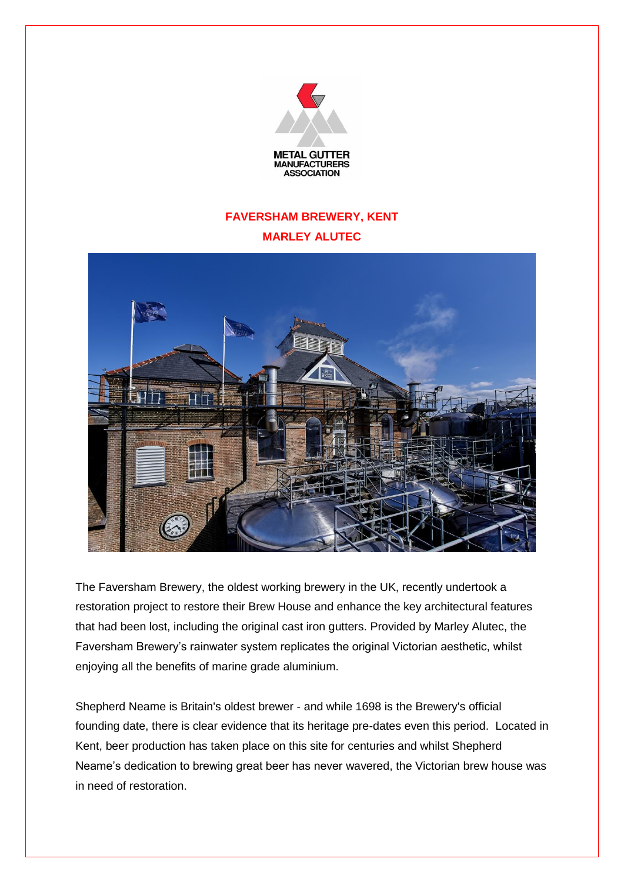

## **FAVERSHAM BREWERY, KENT MARLEY ALUTEC**



The Faversham Brewery, the oldest working brewery in the UK, recently undertook a restoration project to restore their Brew House and enhance the key architectural features that had been lost, including the original cast iron gutters. Provided by Marley Alutec, the Faversham Brewery's rainwater system replicates the original Victorian aesthetic, whilst enjoying all the benefits of marine grade aluminium.

Shepherd Neame is Britain's oldest brewer - and while 1698 is the Brewery's official founding date, there is clear evidence that its heritage pre-dates even this period. Located in Kent, beer production has taken place on this site for centuries and whilst Shepherd Neame's dedication to brewing great beer has never wavered, the Victorian brew house was in need of restoration.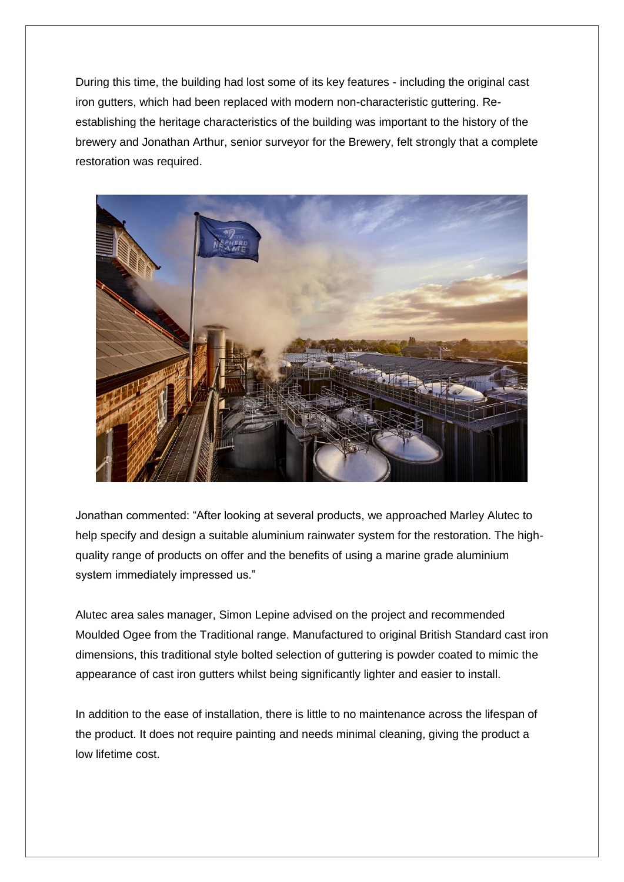During this time, the building had lost some of its key features - including the original cast iron gutters, which had been replaced with modern non-characteristic guttering. Reestablishing the heritage characteristics of the building was important to the history of the brewery and Jonathan Arthur, senior surveyor for the Brewery, felt strongly that a complete restoration was required.



Jonathan commented: "After looking at several products, we approached Marley Alutec to help specify and design a suitable aluminium rainwater system for the restoration. The highquality range of products on offer and the benefits of using a marine grade aluminium system immediately impressed us."

Alutec area sales manager, Simon Lepine advised on the project and recommended Moulded Ogee from the Traditional range. Manufactured to original British Standard cast iron dimensions, this traditional style bolted selection of guttering is powder coated to mimic the appearance of cast iron gutters whilst being significantly lighter and easier to install.

In addition to the ease of installation, there is little to no maintenance across the lifespan of the product. It does not require painting and needs minimal cleaning, giving the product a low lifetime cost.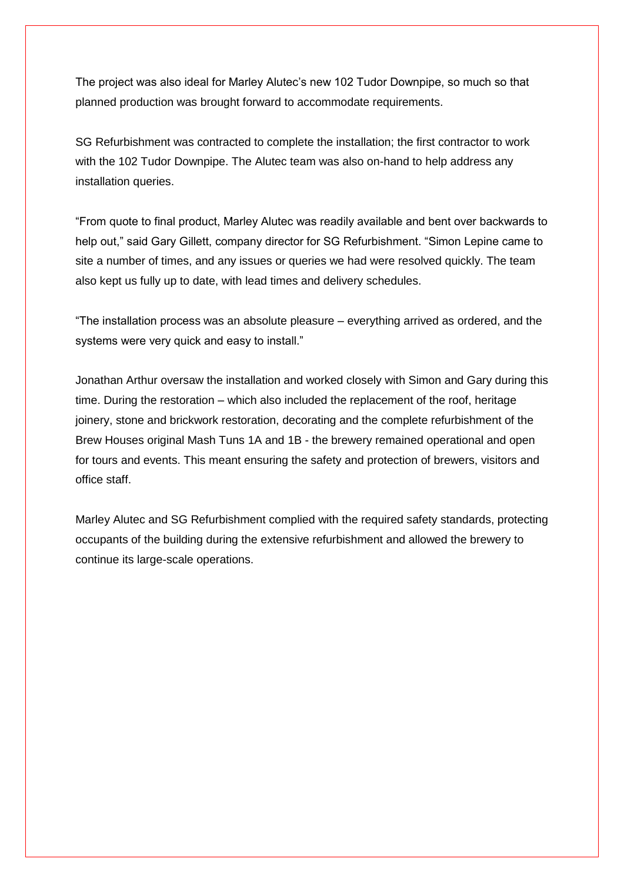The project was also ideal for Marley Alutec's new 102 Tudor Downpipe, so much so that planned production was brought forward to accommodate requirements.

SG Refurbishment was contracted to complete the installation; the first contractor to work with the 102 Tudor Downpipe. The Alutec team was also on-hand to help address any installation queries.

"From quote to final product, Marley Alutec was readily available and bent over backwards to help out," said Gary Gillett, company director for SG Refurbishment. "Simon Lepine came to site a number of times, and any issues or queries we had were resolved quickly. The team also kept us fully up to date, with lead times and delivery schedules.

"The installation process was an absolute pleasure – everything arrived as ordered, and the systems were very quick and easy to install."

Jonathan Arthur oversaw the installation and worked closely with Simon and Gary during this time. During the restoration – which also included the replacement of the roof, heritage joinery, stone and brickwork restoration, decorating and the complete refurbishment of the Brew Houses original Mash Tuns 1A and 1B - the brewery remained operational and open for tours and events. This meant ensuring the safety and protection of brewers, visitors and office staff.

Marley Alutec and SG Refurbishment complied with the required safety standards, protecting occupants of the building during the extensive refurbishment and allowed the brewery to continue its large-scale operations.